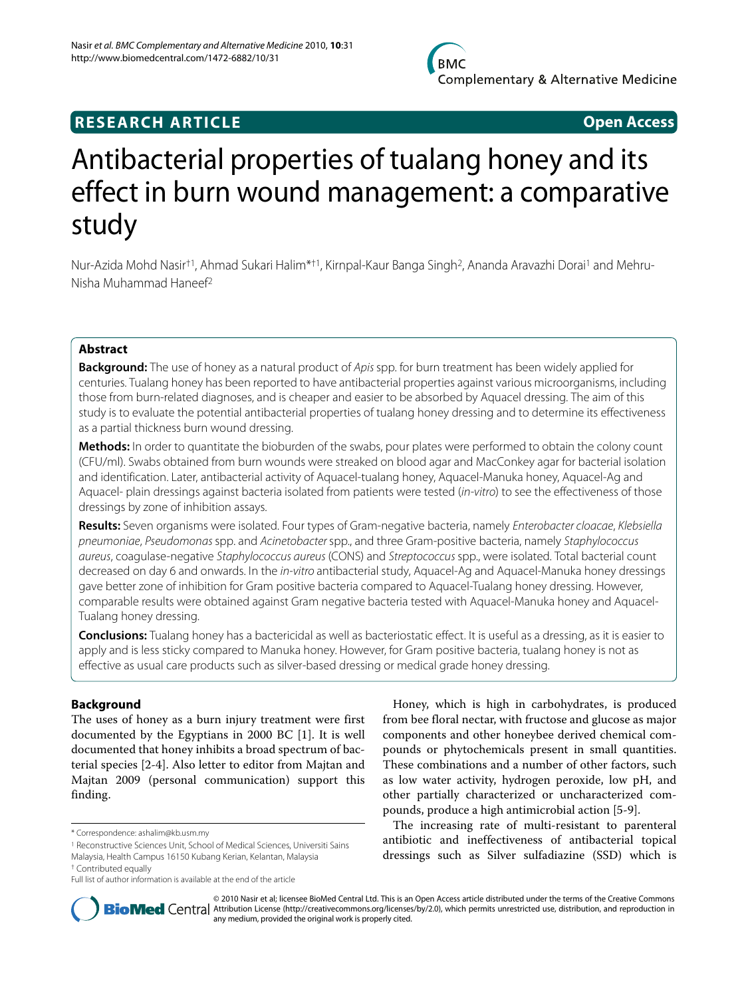

# **RESEARCH ARTICLE Open Access**

# Antibacterial properties of tualang honey and its effect in burn wound management: a comparative study

Nur-Azida Mohd Nasir†1, Ahmad Sukari Halim\*†1, Kirnpal-Kaur Banga Singh2, Ananda Aravazhi Dorai1 and Mehru-Nisha Muhammad Haneef2

# **Abstract**

**Background:** The use of honey as a natural product of Apis spp. for burn treatment has been widely applied for centuries. Tualang honey has been reported to have antibacterial properties against various microorganisms, including those from burn-related diagnoses, and is cheaper and easier to be absorbed by Aquacel dressing. The aim of this study is to evaluate the potential antibacterial properties of tualang honey dressing and to determine its effectiveness as a partial thickness burn wound dressing.

**Methods:** In order to quantitate the bioburden of the swabs, pour plates were performed to obtain the colony count (CFU/ml). Swabs obtained from burn wounds were streaked on blood agar and MacConkey agar for bacterial isolation and identification. Later, antibacterial activity of Aquacel-tualang honey, Aquacel-Manuka honey, Aquacel-Ag and Aquacel- plain dressings against bacteria isolated from patients were tested (in-vitro) to see the effectiveness of those dressings by zone of inhibition assays.

**Results:** Seven organisms were isolated. Four types of Gram-negative bacteria, namely Enterobacter cloacae, Klebsiella pneumoniae, Pseudomonas spp. and Acinetobacter spp., and three Gram-positive bacteria, namely Staphylococcus aureus, coagulase-negative Staphylococcus aureus (CONS) and Streptococcus spp., were isolated. Total bacterial count decreased on day 6 and onwards. In the in-vitro antibacterial study, Aquacel-Ag and Aquacel-Manuka honey dressings gave better zone of inhibition for Gram positive bacteria compared to Aquacel-Tualang honey dressing. However, comparable results were obtained against Gram negative bacteria tested with Aquacel-Manuka honey and Aquacel-Tualang honey dressing.

**Conclusions:** Tualang honey has a bactericidal as well as bacteriostatic effect. It is useful as a dressing, as it is easier to apply and is less sticky compared to Manuka honey. However, for Gram positive bacteria, tualang honey is not as effective as usual care products such as silver-based dressing or medical grade honey dressing.

# **Background**

The uses of honey as a burn injury treatment were first documented by the Egyptians in 2000 BC [\[1\]](#page-5-0). It is well documented that honey inhibits a broad spectrum of bacterial species [[2](#page-5-1)-[4\]](#page-5-2). Also letter to editor from Majtan and Majtan 2009 (personal communication) support this finding.

Honey, which is high in carbohydrates, is produced from bee floral nectar, with fructose and glucose as major components and other honeybee derived chemical compounds or phytochemicals present in small quantities. These combinations and a number of other factors, such as low water activity, hydrogen peroxide, low pH, and other partially characterized or uncharacterized compounds, produce a high antimicrobial action [\[5-](#page-5-3)[9](#page-5-4)].

The increasing rate of multi-resistant to parenteral antibiotic and ineffectiveness of antibacterial topical dressings such as Silver sulfadiazine (SSD) which is



© 2010 Nasir et al; licensee BioMed Central Ltd. This is an Open Access article distributed under the terms of the Creative Commons **BioMed** Central Attribution License (http://creativecommons.org/licenses/by/2.0), which permits unrestricted use, distribution, and reproduction in any medium, provided the original work is properly cited.

<sup>\*</sup> Correspondence: ashalim@kb.usm.my

<sup>1</sup> Reconstructive Sciences Unit, School of Medical Sciences, Universiti Sains Malaysia, Health Campus 16150 Kubang Kerian, Kelantan, Malaysia

<sup>†</sup> Contributed equally

Full list of author information is available at the end of the article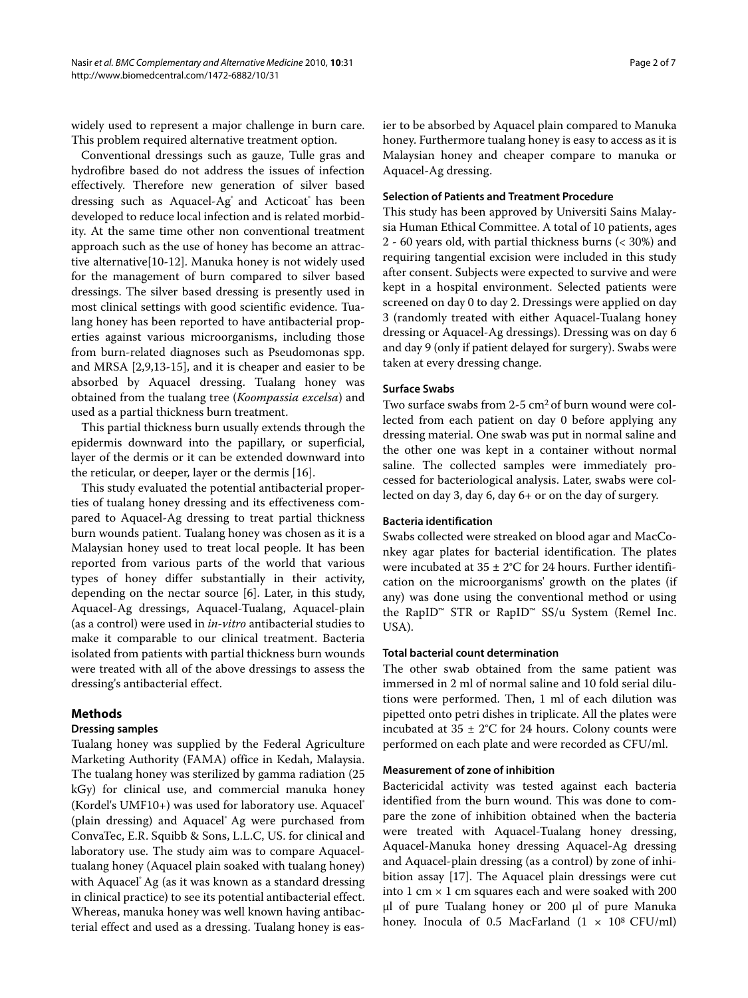widely used to represent a major challenge in burn care. This problem required alternative treatment option.

Conventional dressings such as gauze, Tulle gras and hydrofibre based do not address the issues of infection effectively. Therefore new generation of silver based dressing such as Aquacel-Ag<sup>®</sup> and Acticoat<sup>®</sup> has been developed to reduce local infection and is related morbidity. At the same time other non conventional treatment approach such as the use of honey has become an attractive alternative[[10](#page-5-5)[-12\]](#page-5-6). Manuka honey is not widely used for the management of burn compared to silver based dressings. The silver based dressing is presently used in most clinical settings with good scientific evidence. Tualang honey has been reported to have antibacterial properties against various microorganisms, including those from burn-related diagnoses such as Pseudomonas spp. and MRSA [\[2](#page-5-1)[,9](#page-5-4)[,13](#page-5-7)-[15\]](#page-5-8), and it is cheaper and easier to be absorbed by Aquacel dressing. Tualang honey was obtained from the tualang tree (*Koompassia excelsa*) and used as a partial thickness burn treatment.

This partial thickness burn usually extends through the epidermis downward into the papillary, or superficial, layer of the dermis or it can be extended downward into the reticular, or deeper, layer or the dermis [[16\]](#page-5-9).

This study evaluated the potential antibacterial properties of tualang honey dressing and its effectiveness compared to Aquacel-Ag dressing to treat partial thickness burn wounds patient. Tualang honey was chosen as it is a Malaysian honey used to treat local people. It has been reported from various parts of the world that various types of honey differ substantially in their activity, depending on the nectar source [[6](#page-5-10)]. Later, in this study, Aquacel-Ag dressings, Aquacel-Tualang, Aquacel-plain (as a control) were used in *in-vitro* antibacterial studies to make it comparable to our clinical treatment. Bacteria isolated from patients with partial thickness burn wounds were treated with all of the above dressings to assess the dressing's antibacterial effect.

# **Methods**

### **Dressing samples**

Tualang honey was supplied by the Federal Agriculture Marketing Authority (FAMA) office in Kedah, Malaysia. The tualang honey was sterilized by gamma radiation (25 kGy) for clinical use, and commercial manuka honey (Kordel's UMF10+) was used for laboratory use. Aquacel® (plain dressing) and Aquacel® Ag were purchased from ConvaTec, E.R. Squibb & Sons, L.L.C, US. for clinical and laboratory use. The study aim was to compare Aquaceltualang honey (Aquacel plain soaked with tualang honey) with Aquacel® Ag (as it was known as a standard dressing in clinical practice) to see its potential antibacterial effect. Whereas, manuka honey was well known having antibacterial effect and used as a dressing. Tualang honey is easier to be absorbed by Aquacel plain compared to Manuka honey. Furthermore tualang honey is easy to access as it is Malaysian honey and cheaper compare to manuka or Aquacel-Ag dressing.

#### **Selection of Patients and Treatment Procedure**

This study has been approved by Universiti Sains Malaysia Human Ethical Committee. A total of 10 patients, ages 2 - 60 years old, with partial thickness burns (< 30%) and requiring tangential excision were included in this study after consent. Subjects were expected to survive and were kept in a hospital environment. Selected patients were screened on day 0 to day 2. Dressings were applied on day 3 (randomly treated with either Aquacel-Tualang honey dressing or Aquacel-Ag dressings). Dressing was on day 6 and day 9 (only if patient delayed for surgery). Swabs were taken at every dressing change.

#### **Surface Swabs**

Two surface swabs from 2-5 cm<sup>2</sup> of burn wound were collected from each patient on day 0 before applying any dressing material. One swab was put in normal saline and the other one was kept in a container without normal saline. The collected samples were immediately processed for bacteriological analysis. Later, swabs were collected on day 3, day 6, day 6+ or on the day of surgery.

#### **Bacteria identification**

Swabs collected were streaked on blood agar and MacConkey agar plates for bacterial identification. The plates were incubated at  $35 \pm 2$ °C for 24 hours. Further identification on the microorganisms' growth on the plates (if any) was done using the conventional method or using the RapID™ STR or RapID™ SS/u System (Remel Inc. USA).

#### **Total bacterial count determination**

The other swab obtained from the same patient was immersed in 2 ml of normal saline and 10 fold serial dilutions were performed. Then, 1 ml of each dilution was pipetted onto petri dishes in triplicate. All the plates were incubated at  $35 \pm 2$ °C for 24 hours. Colony counts were performed on each plate and were recorded as CFU/ml.

### **Measurement of zone of inhibition**

Bactericidal activity was tested against each bacteria identified from the burn wound. This was done to compare the zone of inhibition obtained when the bacteria were treated with Aquacel-Tualang honey dressing, Aquacel-Manuka honey dressing Aquacel-Ag dressing and Aquacel-plain dressing (as a control) by zone of inhibition assay [[17](#page-5-11)]. The Aquacel plain dressings were cut into 1 cm  $\times$  1 cm squares each and were soaked with 200 μl of pure Tualang honey or 200 μl of pure Manuka honey. Inocula of 0.5 MacFarland  $(1 \times 10^8 \text{ CFU/ml})$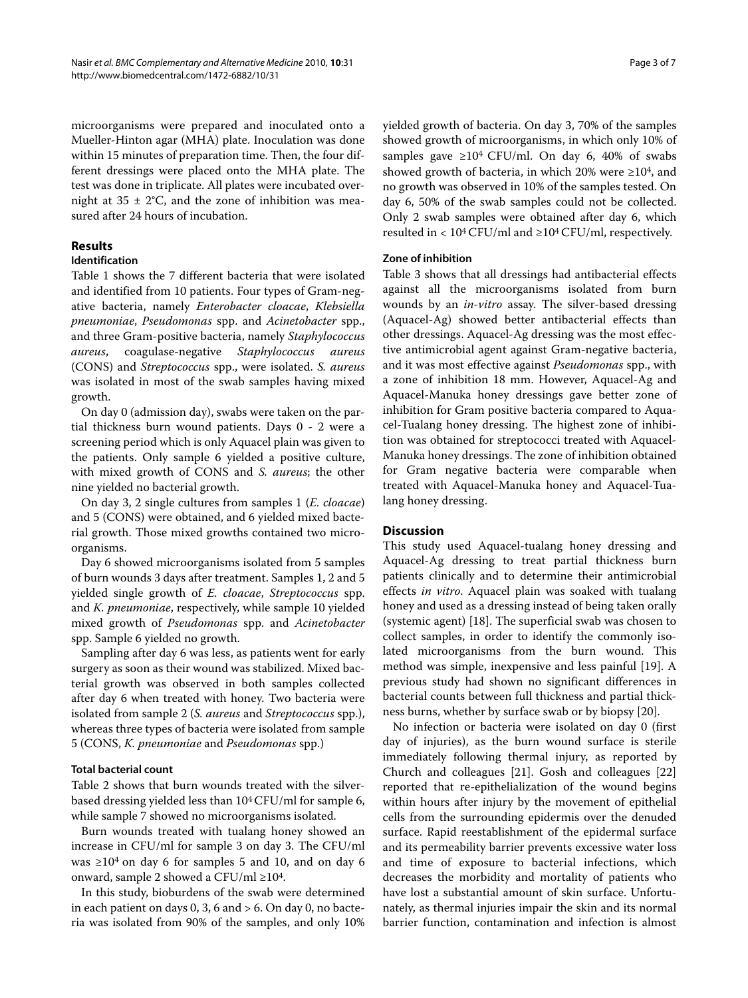microorganisms were prepared and inoculated onto a Mueller-Hinton agar (MHA) plate. Inoculation was done within 15 minutes of preparation time. Then, the four different dressings were placed onto the MHA plate. The test was done in triplicate. All plates were incubated overnight at  $35 \pm 2$ °C, and the zone of inhibition was measured after 24 hours of incubation.

# **Results**

# **Identification**

Table 1 shows the 7 different bacteria that were isolated and identified from 10 patients. Four types of Gram-negative bacteria, namely *Enterobacter cloacae*, *Klebsiella pneumoniae*, *Pseudomonas* spp. and *Acinetobacter* spp., and three Gram-positive bacteria, namely *Staphylococcus aureus*, coagulase-negative *Staphylococcus aureus* (CONS) and *Streptococcus* spp., were isolated. *S. aureus* was isolated in most of the swab samples having mixed growth.

On day 0 (admission day), swabs were taken on the partial thickness burn wound patients. Days 0 - 2 were a screening period which is only Aquacel plain was given to the patients. Only sample 6 yielded a positive culture, with mixed growth of CONS and *S. aureus*; the other nine yielded no bacterial growth.

On day 3, 2 single cultures from samples 1 (*E. cloacae*) and 5 (CONS) were obtained, and 6 yielded mixed bacterial growth. Those mixed growths contained two microorganisms.

Day 6 showed microorganisms isolated from 5 samples of burn wounds 3 days after treatment. Samples 1, 2 and 5 yielded single growth of *E. cloacae*, *Streptococcus* spp. and *K. pneumoniae*, respectively, while sample 10 yielded mixed growth of *Pseudomonas* spp. and *Acinetobacter* spp. Sample 6 yielded no growth.

Sampling after day 6 was less, as patients went for early surgery as soon as their wound was stabilized. Mixed bacterial growth was observed in both samples collected after day 6 when treated with honey. Two bacteria were isolated from sample 2 (*S. aureus* and *Streptococcus* spp.), whereas three types of bacteria were isolated from sample 5 (CONS, *K. pneumoniae* and *Pseudomonas* spp.)

### **Total bacterial count**

Table 2 shows that burn wounds treated with the silverbased dressing yielded less than  $10^4$  CFU/ml for sample 6, while sample 7 showed no microorganisms isolated.

Burn wounds treated with tualang honey showed an increase in CFU/ml for sample 3 on day 3. The CFU/ml was  $\geq 10^4$  on day 6 for samples 5 and 10, and on day 6 onward, sample 2 showed a CFU/ml ≥104.

In this study, bioburdens of the swab were determined in each patient on days 0, 3, 6 and  $> 6$ . On day 0, no bacteria was isolated from 90% of the samples, and only 10% yielded growth of bacteria. On day 3, 70% of the samples showed growth of microorganisms, in which only 10% of samples gave  $\geq 10^4$  CFU/ml. On day 6, 40% of swabs showed growth of bacteria, in which 20% were  $\geq 10^4$ , and no growth was observed in 10% of the samples tested. On day 6, 50% of the swab samples could not be collected. Only 2 swab samples were obtained after day 6, which resulted in <  $10^4$  CFU/ml and  $\geq$ 10<sup>4</sup> CFU/ml, respectively.

#### **Zone of inhibition**

Table 3 shows that all dressings had antibacterial effects against all the microorganisms isolated from burn wounds by an *in-vitro* assay. The silver-based dressing (Aquacel-Ag) showed better antibacterial effects than other dressings. Aquacel-Ag dressing was the most effective antimicrobial agent against Gram-negative bacteria, and it was most effective against *Pseudomonas* spp., with a zone of inhibition 18 mm. However, Aquacel-Ag and Aquacel-Manuka honey dressings gave better zone of inhibition for Gram positive bacteria compared to Aquacel-Tualang honey dressing. The highest zone of inhibition was obtained for streptococci treated with Aquacel-Manuka honey dressings. The zone of inhibition obtained for Gram negative bacteria were comparable when treated with Aquacel-Manuka honey and Aquacel-Tualang honey dressing.

#### **Discussion**

This study used Aquacel-tualang honey dressing and Aquacel-Ag dressing to treat partial thickness burn patients clinically and to determine their antimicrobial effects *in vitro*. Aquacel plain was soaked with tualang honey and used as a dressing instead of being taken orally (systemic agent) [[18](#page-5-12)]. The superficial swab was chosen to collect samples, in order to identify the commonly isolated microorganisms from the burn wound. This method was simple, inexpensive and less painful [\[19\]](#page-5-13). A previous study had shown no significant differences in bacterial counts between full thickness and partial thickness burns, whether by surface swab or by biopsy [\[20](#page-5-14)].

No infection or bacteria were isolated on day 0 (first day of injuries), as the burn wound surface is sterile immediately following thermal injury, as reported by Church and colleagues [[21\]](#page-5-15). Gosh and colleagues [[22](#page-5-16)] reported that re-epithelialization of the wound begins within hours after injury by the movement of epithelial cells from the surrounding epidermis over the denuded surface. Rapid reestablishment of the epidermal surface and its permeability barrier prevents excessive water loss and time of exposure to bacterial infections, which decreases the morbidity and mortality of patients who have lost a substantial amount of skin surface. Unfortunately, as thermal injuries impair the skin and its normal barrier function, contamination and infection is almost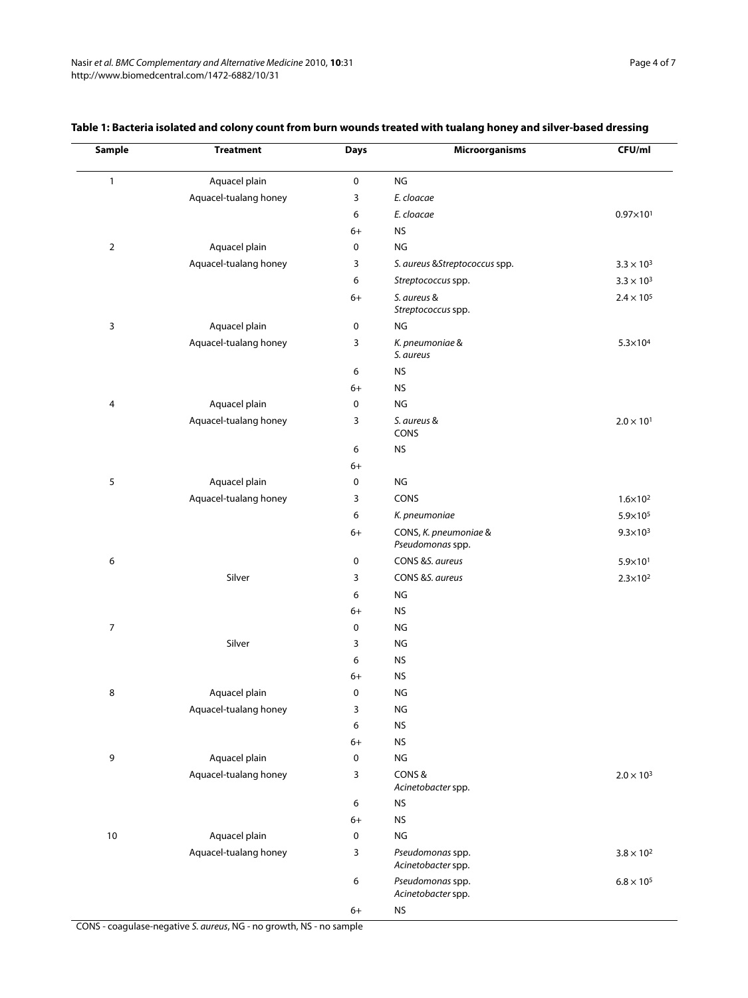| <b>Sample</b>    | <b>Treatment</b>      | <b>Days</b> | <b>Microorganisms</b>                     | CFU/ml               |
|------------------|-----------------------|-------------|-------------------------------------------|----------------------|
| $\mathbf{1}$     | Aquacel plain         | 0           | NG                                        |                      |
|                  | Aquacel-tualang honey | 3           | E. cloacae                                |                      |
|                  |                       | 6           | E. cloacae                                | $0.97 \times 10^{1}$ |
|                  |                       | $6+$        | <b>NS</b>                                 |                      |
| $\overline{2}$   | Aquacel plain         | 0           | NG                                        |                      |
|                  | Aquacel-tualang honey | 3           | S. aureus & Streptococcus spp.            | $3.3 \times 10^{3}$  |
|                  |                       | 6           | Streptococcus spp.                        | $3.3 \times 10^3$    |
|                  |                       | $6+$        | S. aureus &<br>Streptococcus spp.         | $2.4 \times 10^{5}$  |
| 3                | Aquacel plain         | 0           | NG                                        |                      |
|                  | Aquacel-tualang honey | 3           | K. pneumoniae &<br>S. aureus              | $5.3 \times 10^{4}$  |
|                  |                       | 6           | <b>NS</b>                                 |                      |
|                  |                       | $6+$        | <b>NS</b>                                 |                      |
| 4                | Aquacel plain         | 0           | NG                                        |                      |
|                  | Aquacel-tualang honey | 3           | S. aureus &<br>CONS                       | $2.0 \times 10^{1}$  |
|                  |                       | 6           | <b>NS</b>                                 |                      |
|                  |                       | $6+$        |                                           |                      |
| 5                | Aquacel plain         | 0           | NG                                        |                      |
|                  | Aquacel-tualang honey | 3           | CONS                                      | $1.6 \times 10^{2}$  |
|                  |                       | 6           | K. pneumoniae                             | 5.9×10 <sup>5</sup>  |
|                  |                       | $6+$        | CONS, K. pneumoniae &<br>Pseudomonas spp. | $9.3 \times 10^{3}$  |
| 6                |                       | 0           | CONS &S. aureus                           | 5.9×10 <sup>1</sup>  |
|                  | Silver                | 3           | CONS &S. aureus                           | $2.3 \times 10^{2}$  |
|                  |                       | 6           | NG                                        |                      |
|                  |                       | $6+$        | <b>NS</b>                                 |                      |
| $\boldsymbol{7}$ |                       | 0           | NG                                        |                      |
|                  | Silver                | 3           | NG                                        |                      |
|                  |                       | 6           | <b>NS</b>                                 |                      |
|                  |                       | $6+$        | <b>NS</b>                                 |                      |
| 8                | Aquacel plain         | 0           | NG                                        |                      |
|                  | Aquacel-tualang honey | 3           | NG                                        |                      |
|                  |                       | 6           | <b>NS</b>                                 |                      |
|                  |                       | $6+$        | <b>NS</b>                                 |                      |
| 9                | Aquacel plain         | 0           | NG                                        |                      |
|                  | Aquacel-tualang honey | 3           | CONS&<br>Acinetobacter spp.               | $2.0 \times 10^3$    |
|                  |                       | 6           | <b>NS</b>                                 |                      |
|                  |                       | $6+$        | <b>NS</b>                                 |                      |
| 10               | Aquacel plain         | 0           | NG                                        |                      |
|                  | Aquacel-tualang honey | 3           | Pseudomonas spp.<br>Acinetobacter spp.    | $3.8 \times 10^{2}$  |
|                  |                       | 6           | Pseudomonas spp.<br>Acinetobacter spp.    | $6.8\times10^{5}$    |
|                  |                       | $6+$        | <b>NS</b>                                 |                      |

# **Table 1: Bacteria isolated and colony count from burn wounds treated with tualang honey and silver-based dressing**

CONS - coagulase-negative S. aureus, NG - no growth, NS - no sample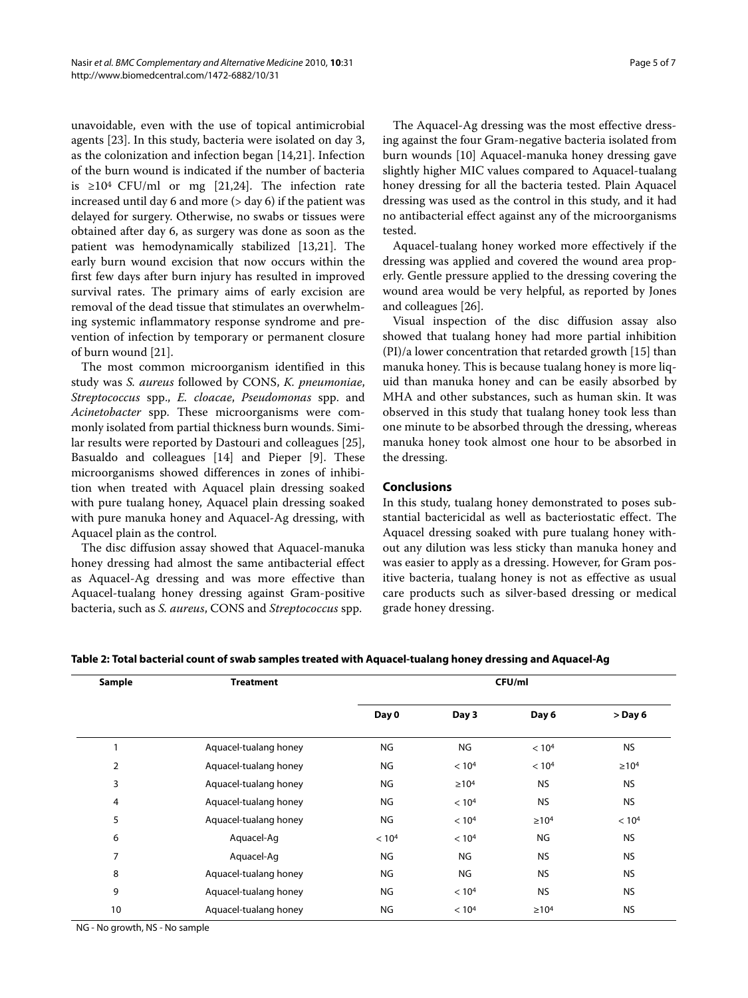unavoidable, even with the use of topical antimicrobial agents [[23](#page-5-17)]. In this study, bacteria were isolated on day 3, as the colonization and infection began [[14](#page-5-18),[21](#page-5-15)]. Infection of the burn wound is indicated if the number of bacteria is  $\geq 10^4$  CFU/ml or mg [[21](#page-5-15),[24\]](#page-5-19). The infection rate increased until day 6 and more  $($  > day 6 $)$  if the patient was delayed for surgery. Otherwise, no swabs or tissues were obtained after day 6, as surgery was done as soon as the patient was hemodynamically stabilized [[13](#page-5-7),[21](#page-5-15)]. The early burn wound excision that now occurs within the first few days after burn injury has resulted in improved survival rates. The primary aims of early excision are removal of the dead tissue that stimulates an overwhelming systemic inflammatory response syndrome and prevention of infection by temporary or permanent closure of burn wound [[21\]](#page-5-15).

The most common microorganism identified in this study was *S. aureus* followed by CONS, *K. pneumoniae*, *Streptococcus* spp., *E. cloacae*, *Pseudomonas* spp. and *Acinetobacter* spp. These microorganisms were commonly isolated from partial thickness burn wounds. Similar results were reported by Dastouri and colleagues [\[25](#page-6-0)], Basualdo and colleagues [[14\]](#page-5-18) and Pieper [\[9](#page-5-4)]. These microorganisms showed differences in zones of inhibition when treated with Aquacel plain dressing soaked with pure tualang honey, Aquacel plain dressing soaked with pure manuka honey and Aquacel-Ag dressing, with Aquacel plain as the control.

The disc diffusion assay showed that Aquacel-manuka honey dressing had almost the same antibacterial effect as Aquacel-Ag dressing and was more effective than Aquacel-tualang honey dressing against Gram-positive bacteria, such as *S. aureus*, CONS and *Streptococcus* spp.

The Aquacel-Ag dressing was the most effective dressing against the four Gram-negative bacteria isolated from burn wounds [\[10\]](#page-5-5) Aquacel-manuka honey dressing gave slightly higher MIC values compared to Aquacel-tualang honey dressing for all the bacteria tested. Plain Aquacel dressing was used as the control in this study, and it had no antibacterial effect against any of the microorganisms tested.

Aquacel-tualang honey worked more effectively if the dressing was applied and covered the wound area properly. Gentle pressure applied to the dressing covering the wound area would be very helpful, as reported by Jones and colleagues [[26\]](#page-6-1).

Visual inspection of the disc diffusion assay also showed that tualang honey had more partial inhibition (PI)/a lower concentration that retarded growth [[15\]](#page-5-8) than manuka honey. This is because tualang honey is more liquid than manuka honey and can be easily absorbed by MHA and other substances, such as human skin. It was observed in this study that tualang honey took less than one minute to be absorbed through the dressing, whereas manuka honey took almost one hour to be absorbed in the dressing.

# **Conclusions**

In this study, tualang honey demonstrated to poses substantial bactericidal as well as bacteriostatic effect. The Aquacel dressing soaked with pure tualang honey without any dilution was less sticky than manuka honey and was easier to apply as a dressing. However, for Gram positive bacteria, tualang honey is not as effective as usual care products such as silver-based dressing or medical grade honey dressing.

| Sample | <b>Treatment</b>      | CFU/ml            |                   |                   |                   |  |
|--------|-----------------------|-------------------|-------------------|-------------------|-------------------|--|
|        |                       | Day 0             | Day 3             | Day 6             | $>$ Day 6         |  |
|        | Aquacel-tualang honey | NG                | <b>NG</b>         | < 10 <sup>4</sup> | <b>NS</b>         |  |
| 2      | Aquacel-tualang honey | NG                | < 10 <sup>4</sup> | < 10 <sup>4</sup> | $\geq 10^{4}$     |  |
| 3      | Aquacel-tualang honey | NG                | $\geq 10^4$       | <b>NS</b>         | <b>NS</b>         |  |
| 4      | Aquacel-tualang honey | NG                | < 10 <sup>4</sup> | <b>NS</b>         | <b>NS</b>         |  |
| 5      | Aquacel-tualang honey | NG                | < 10 <sup>4</sup> | $\geq 104$        | < 10 <sup>4</sup> |  |
| 6      | Aquacel-Ag            | < 10 <sup>4</sup> | < 10 <sup>4</sup> | NG                | <b>NS</b>         |  |
| 7      | Aquacel-Ag            | NG                | NG                | <b>NS</b>         | <b>NS</b>         |  |
| 8      | Aquacel-tualang honey | NG                | NG                | <b>NS</b>         | <b>NS</b>         |  |
| 9      | Aquacel-tualang honey | NG                | < 10 <sup>4</sup> | <b>NS</b>         | <b>NS</b>         |  |
| 10     | Aquacel-tualang honey | NG                | < 10 <sup>4</sup> | $\geq 10^4$       | <b>NS</b>         |  |

**Table 2: Total bacterial count of swab samples treated with Aquacel-tualang honey dressing and Aquacel-Ag**

NG - No growth, NS - No sample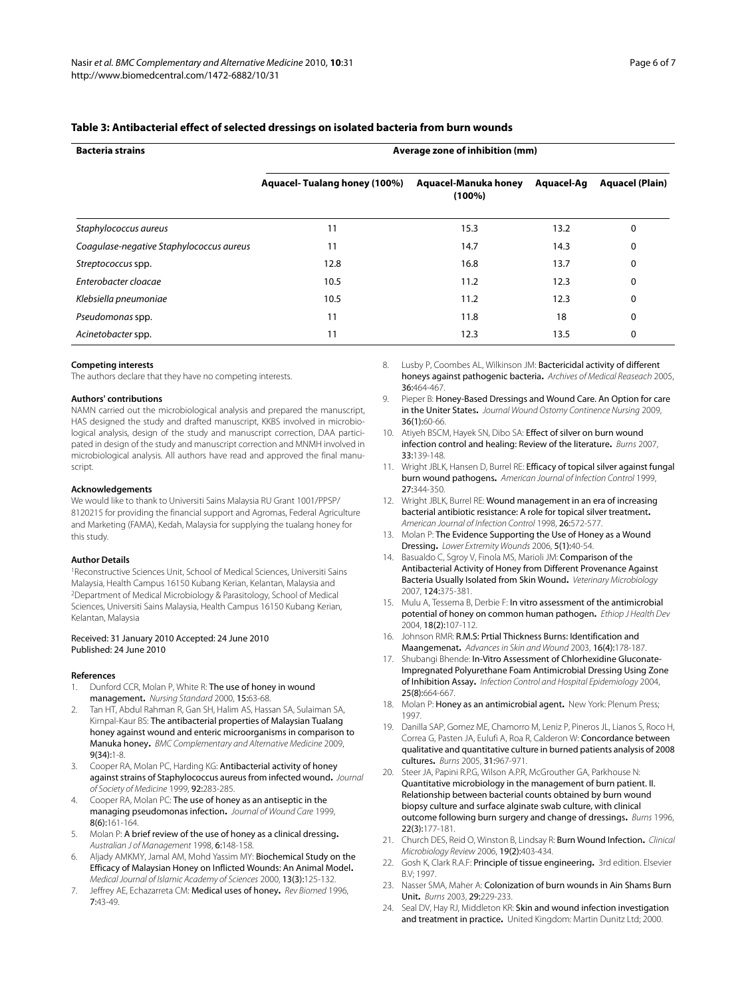#### **Table 3: Antibacterial effect of selected dressings on isolated bacteria from burn wounds**

| <b>Bacteria strains</b>                  | Average zone of inhibition (mm) |                                   |            |                        |  |  |
|------------------------------------------|---------------------------------|-----------------------------------|------------|------------------------|--|--|
|                                          | Aquacel-Tualang honey (100%)    | Aquacel-Manuka honey<br>$(100\%)$ | Aquacel-Aq | <b>Aquacel (Plain)</b> |  |  |
| Staphylococcus aureus                    | 11                              | 15.3                              | 13.2       | 0                      |  |  |
| Coagulase-negative Staphylococcus aureus | 11                              | 14.7                              | 14.3       | 0                      |  |  |
| Streptococcus spp.                       | 12.8                            | 16.8                              | 13.7       | 0                      |  |  |
| Enterobacter cloacae                     | 10.5                            | 11.2                              | 12.3       | 0                      |  |  |
| Klebsiella pneumoniae                    | 10.5                            | 11.2                              | 12.3       | 0                      |  |  |
| Pseudomonas spp.                         | 11                              | 11.8                              | 18         | 0                      |  |  |
| Acinetobacter spp.                       | 11                              | 12.3                              | 13.5       | 0                      |  |  |

#### **Competing interests**

The authors declare that they have no competing interests.

#### **Authors' contributions**

NAMN carried out the microbiological analysis and prepared the manuscript, HAS designed the study and drafted manuscript, KKBS involved in microbiological analysis, design of the study and manuscript correction, DAA participated in design of the study and manuscript correction and MNMH involved in microbiological analysis. All authors have read and approved the final manuscript.

#### **Acknowledgements**

We would like to thank to Universiti Sains Malaysia RU Grant 1001/PPSP/ 8120215 for providing the financial support and Agromas, Federal Agriculture and Marketing (FAMA), Kedah, Malaysia for supplying the tualang honey for this study.

#### **Author Details**

1Reconstructive Sciences Unit, School of Medical Sciences, Universiti Sains Malaysia, Health Campus 16150 Kubang Kerian, Kelantan, Malaysia and 2Department of Medical Microbiology & Parasitology, School of Medical Sciences, Universiti Sains Malaysia, Health Campus 16150 Kubang Kerian, Kelantan, Malaysia

#### Received: 31 January 2010 Accepted: 24 June 2010 Published: 24 June 2010

#### **References**

- <span id="page-5-0"></span>1. Dunford CCR, Molan P, White R: The use of honey in wound management**.** Nursing Standard 2000, 15:63-68.
- <span id="page-5-1"></span>2. Tan HT, Abdul Rahman R, Gan SH, Halim AS, Hassan SA, Sulaiman SA, Kirnpal-Kaur BS: The antibacterial properties of Malaysian Tualang honey against wound and enteric microorganisms in comparison to Manuka honey**.** BMC Complementary and Alternative Medicine 2009, 9(34):1-8.
- 3. Cooper RA, Molan PC, Harding KG: Antibacterial activity of honey against strains of Staphylococcus aureus from infected wound**.** Journal of Society of Medicine 1999, 92:283-285.
- <span id="page-5-2"></span>4. Cooper RA, Molan PC: The use of honey as an antiseptic in the managing pseudomonas infection**.** Journal of Wound Care 1999, 8(6):161-164.
- <span id="page-5-3"></span>5. Molan P: A brief review of the use of honey as a clinical dressing**.** Australian J of Management 1998, 6:148-158.
- <span id="page-5-10"></span>6. Aljady AMKMY, Jamal AM, Mohd Yassim MY: Biochemical Study on the Efficacy of Malaysian Honey on Inflicted Wounds: An Animal Model**.** Medical Journal of Islamic Academy of Sciences 2000, 13(3):125-132.
- 7. Jeffrey AE, Echazarreta CM: Medical uses of honey**.** Rev Biomed 1996, 7:43-49.
- 8. Lusby P, Coombes AL, Wilkinson JM: Bactericidal activity of different honeys against pathogenic bacteria**.** Archives of Medical Reaseach 2005, 36:464-467.
- <span id="page-5-4"></span>9. Pieper B: Honey-Based Dressings and Wound Care. An Option for care in the Uniter States**.** Journal Wound Ostomy Continence Nursing 2009, 36(1):60-66.
- <span id="page-5-5"></span>10. Atiyeh BSCM, Hayek SN, Dibo SA: Effect of silver on burn wound infection control and healing: Review of the literature**[.](http://www.ncbi.nlm.nih.gov/entrez/query.fcgi?cmd=Retrieve&db=PubMed&dopt=Abstract&list_uids=17137719)** Burns 2007, 33:139-148.
- 11. Wright JBLK, Hansen D, Burrel RE: Efficacy of topical silver against fungal burn wound pathogens**.** American Journal of Infection Control 1999, 27:344-350.
- <span id="page-5-6"></span>12. Wright JBLK, Burrel RE: Wound management in an era of increasing bacterial antibiotic resistance: A role for topical silver treatment**.** American Journal of Infection Control 1998, 26:572-577.
- <span id="page-5-7"></span>13. Molan P: The Evidence Supporting the Use of Honey as a Wound Dressing**.** Lower Extremity Wounds 2006, 5(1):40-54.
- <span id="page-5-18"></span>14. Basualdo C, Sgroy V, Finola MS, Marioli JM: Comparison of the Antibacterial Activity of Honey from Different Provenance Against Bacteria Usually Isolated from Skin Wound**.** Veterinary Microbiology 2007, 124:375-381.
- <span id="page-5-8"></span>15. Mulu A, Tessema B, Derbie F: In vitro assessment of the antimicrobial potential of honey on common human pathogen**.** Ethiop J Health Dev 2004, 18(2):107-112.
- <span id="page-5-9"></span>16. Johnson RMR: R.M.S: Prtial Thickness Burns: Identification and Maangemenat**.** Advances in Skin and Wound 2003, 16(4):178-187.
- <span id="page-5-11"></span>17. Shubangi Bhende: In-Vitro Assessment of Chlorhexidine Gluconate-Impregnated Polyurethane Foam Antimicrobial Dressing Using Zone of Inhibition Assay**.** Infection Control and Hospital Epidemiology 2004, 25(8):664-667.
- <span id="page-5-12"></span>18. Molan P: Honey as an antimicrobial agent**.** New York: Plenum Press; 1997.
- <span id="page-5-13"></span>19. Danilla SAP, Gomez ME, Chamorro M, Leniz P, Pineros JL, Lianos S, Roco H, Correa G, Pasten JA, Eulufi A, Roa R, Calderon W: Concordance between qualitative and quantitative culture in burned patients analysis of 2008 cultures**.** Burns 2005, 31:967-971.
- <span id="page-5-14"></span>20. Steer JA, Papini R.P.G, Wilson A.P.R, McGrouther GA, Parkhouse N: Quantitative microbiology in the management of burn patient. II. Relationship between bacterial counts obtained by burn wound biopsy culture and surface alginate swab culture, with clinical outcome following burn surgery and change of dressings**.** Burns 1996, 22(3):177-181.
- <span id="page-5-15"></span>21. Church DES, Reid O, Winston B, Lindsay R: Burn Wound Infection**.** Clinical Microbiology Review 2006, 19(2):403-434.
- <span id="page-5-16"></span>22. Gosh K, Clark R.A.F: Principle of tissue engineering**.** 3rd edition. Elsevier B.V; 1997.
- <span id="page-5-17"></span>23. Nasser SMA, Maher A: Colonization of burn wounds in Ain Shams Burn Unit**.** Burns 2003, 29:229-233.
- <span id="page-5-19"></span>24. Seal DV, Hay RJ, Middleton KR: Skin and wound infection investigation and treatment in practice**.** United Kingdom: Martin Dunitz Ltd; 2000.